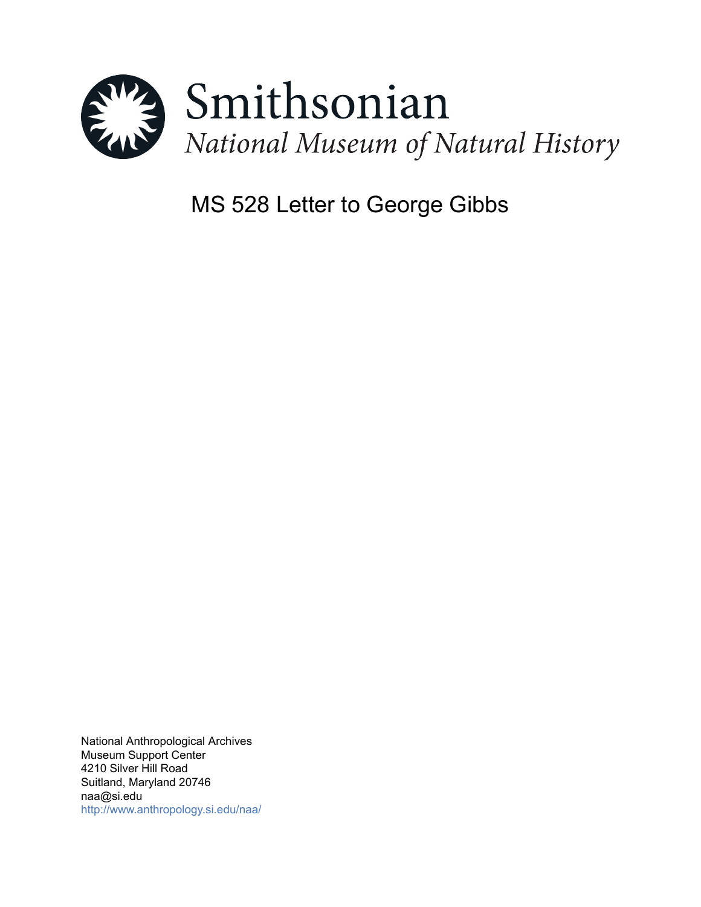

# MS 528 Letter to George Gibbs

National Anthropological Archives Museum Support Center 4210 Silver Hill Road Suitland, Maryland 20746 naa@si.edu <http://www.anthropology.si.edu/naa/>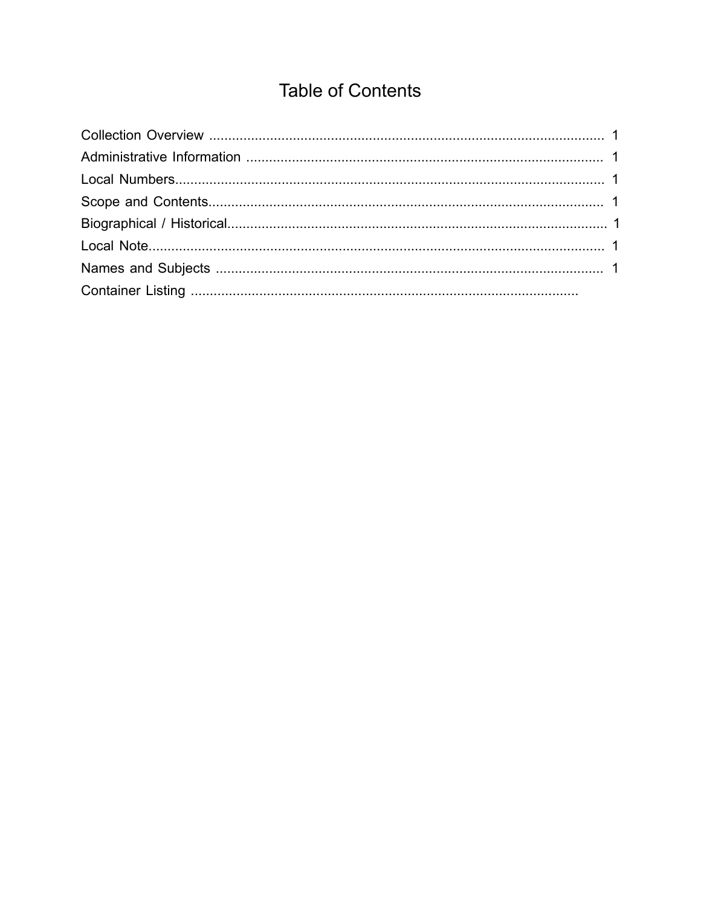# **Table of Contents**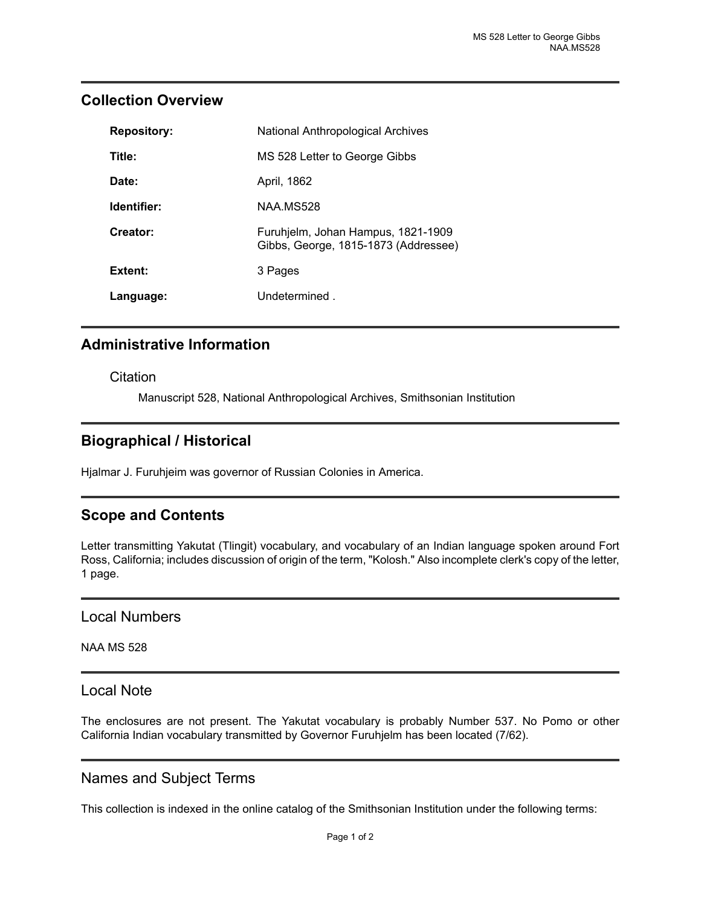## <span id="page-2-0"></span>**Collection Overview**

| <b>Repository:</b> | National Anthropological Archives                                          |
|--------------------|----------------------------------------------------------------------------|
| Title:             | MS 528 Letter to George Gibbs                                              |
| Date:              | April, 1862                                                                |
| Identifier:        | NAA MS528                                                                  |
| Creator:           | Furuhjelm, Johan Hampus, 1821-1909<br>Gibbs, George, 1815-1873 (Addressee) |
| Extent:            | 3 Pages                                                                    |
| Language:          | Undetermined.                                                              |

# <span id="page-2-1"></span>**Administrative Information**

**Citation** 

Manuscript 528, National Anthropological Archives, Smithsonian Institution

# <span id="page-2-4"></span>**Biographical / Historical**

Hjalmar J. Furuhjeim was governor of Russian Colonies in America.

# <span id="page-2-3"></span>**Scope and Contents**

Letter transmitting Yakutat (Tlingit) vocabulary, and vocabulary of an Indian language spoken around Fort Ross, California; includes discussion of origin of the term, "Kolosh." Also incomplete clerk's copy of the letter, 1 page.

#### <span id="page-2-2"></span>Local Numbers

NAA MS 528

#### <span id="page-2-5"></span>Local Note

The enclosures are not present. The Yakutat vocabulary is probably Number 537. No Pomo or other California Indian vocabulary transmitted by Governor Furuhjelm has been located (7/62).

## <span id="page-2-6"></span>Names and Subject Terms

This collection is indexed in the online catalog of the Smithsonian Institution under the following terms: